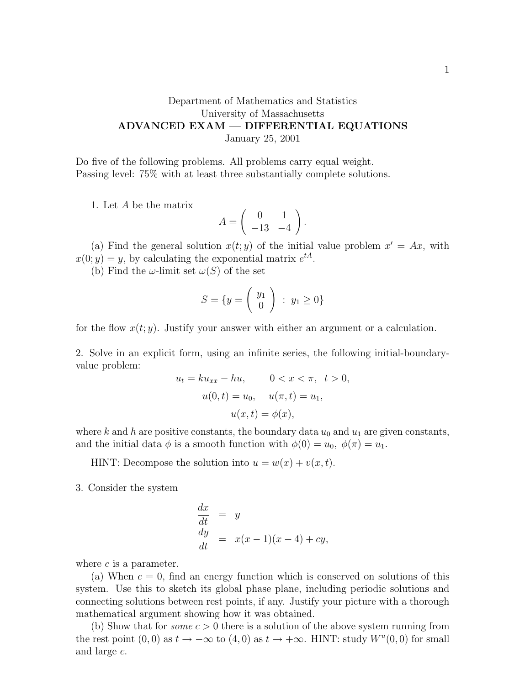## Department of Mathematics and Statistics University of Massachusetts ADVANCED EXAM — DIFFERENTIAL EQUATIONS January 25, 2001

Do five of the following problems. All problems carry equal weight. Passing level: 75% with at least three substantially complete solutions.

1. Let A be the matrix

$$
A = \left(\begin{array}{cc} 0 & 1 \\ -13 & -4 \end{array}\right).
$$

(a) Find the general solution  $x(t; y)$  of the initial value problem  $x' = Ax$ , with  $x(0; y) = y$ , by calculating the exponential matrix  $e^{tA}$ .

(b) Find the  $\omega$ -limit set  $\omega(S)$  of the set

$$
S = \{y = \left(\begin{array}{c} y_1 \\ 0 \end{array}\right) : y_1 \ge 0\}
$$

for the flow  $x(t; y)$ . Justify your answer with either an argument or a calculation.

2. Solve in an explicit form, using an infinite series, the following initial-boundaryvalue problem:

$$
u_t = ku_{xx} - hu, \t 0 < x < \pi, \t t > 0,
$$
  

$$
u(0, t) = u_0, \t u(\pi, t) = u_1,
$$
  

$$
u(x, t) = \phi(x),
$$

where k and h are positive constants, the boundary data  $u_0$  and  $u_1$  are given constants, and the initial data  $\phi$  is a smooth function with  $\phi(0) = u_0, \ \phi(\pi) = u_1$ .

HINT: Decompose the solution into  $u = w(x) + v(x, t)$ .

3. Consider the system

$$
\begin{array}{rcl}\n\frac{dx}{dt} & = & y\\ \n\frac{dy}{dt} & = & x(x-1)(x-4) + cy,\n\end{array}
$$

where  $c$  is a parameter.

(a) When  $c = 0$ , find an energy function which is conserved on solutions of this system. Use this to sketch its global phase plane, including periodic solutions and connecting solutions between rest points, if any. Justify your picture with a thorough mathematical argument showing how it was obtained.

(b) Show that for *some*  $c > 0$  there is a solution of the above system running from the rest point  $(0,0)$  as  $t \to -\infty$  to  $(4,0)$  as  $t \to +\infty$ . HINT: study  $W^u(0,0)$  for small and large c.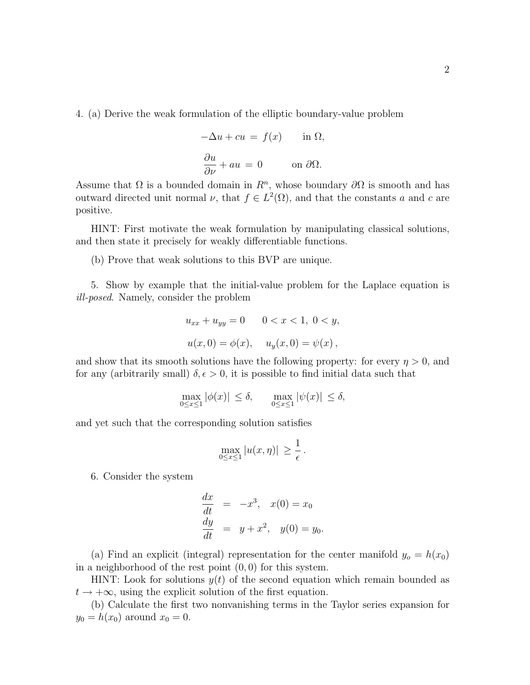4. (a) Derive the weak formulation of the elliptic boundary-value problem

$$
-\Delta u + cu = f(x) \quad \text{in } \Omega,
$$
  

$$
\frac{\partial u}{\partial \nu} + au = 0 \quad \text{on } \partial \Omega.
$$

Assume that  $\Omega$  is a bounded domain in  $\mathbb{R}^n$ , whose boundary  $\partial\Omega$  is smooth and has outward directed unit normal  $\nu$ , that  $f \in L^2(\Omega)$ , and that the constants a and c are positive.

HINT: First motivate the weak formulation by manipulating classical solutions, and then state it precisely for weakly differentiable functions.

(b) Prove that weak solutions to this BVP are unique.

5. Show by example that the initial-value problem for the Laplace equation is ill-posed. Namely, consider the problem

$$
u_{xx} + u_{yy} = 0 \t 0 < x < 1, 0 < y,
$$
  

$$
u(x, 0) = \phi(x), \t u_y(x, 0) = \psi(x),
$$

and show that its smooth solutions have the following property: for every  $\eta > 0$ , and for any (arbitrarily small)  $\delta, \epsilon > 0$ , it is possible to find initial data such that

$$
\max_{0 \le x \le 1} |\phi(x)| \le \delta, \quad \max_{0 \le x \le 1} |\psi(x)| \le \delta,
$$

and yet such that the corresponding solution satisfies

$$
\max_{0 \le x \le 1} |u(x, \eta)| \ge \frac{1}{\epsilon}.
$$

6. Consider the system

$$
\frac{dx}{dt} = -x^3, \quad x(0) = x_0
$$
  

$$
\frac{dy}{dt} = y + x^2, \quad y(0) = y_0.
$$

(a) Find an explicit (integral) representation for the center manifold  $y_o = h(x_0)$ in a neighborhood of the rest point  $(0, 0)$  for this system.

HINT: Look for solutions  $y(t)$  of the second equation which remain bounded as  $t \to +\infty$ , using the explicit solution of the first equation.

(b) Calculate the first two nonvanishing terms in the Taylor series expansion for  $y_0 = h(x_0)$  around  $x_0 = 0$ .